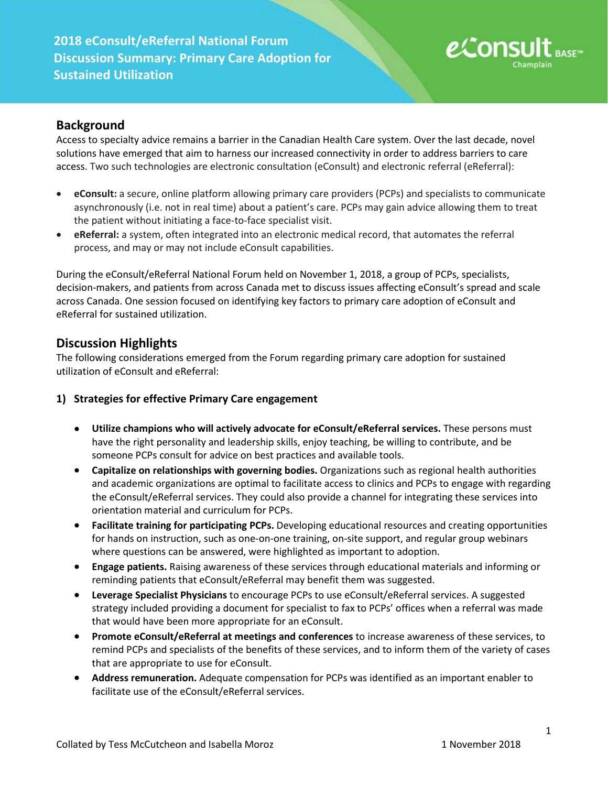

# **Background**

Access to specialty advice remains a barrier in the Canadian Health Care system. Over the last decade, novel solutions have emerged that aim to harness our increased connectivity in order to address barriers to care access. Two such technologies are electronic consultation (eConsult) and electronic referral (eReferral):

- **eConsult:** a secure, online platform allowing primary care providers (PCPs) and specialists to communicate asynchronously (i.e. not in real time) about a patient's care. PCPs may gain advice allowing them to treat the patient without initiating a face-to-face specialist visit.
- **eReferral:** a system, often integrated into an electronic medical record, that automates the referral process, and may or may not include eConsult capabilities.

During the eConsult/eReferral National Forum held on November 1, 2018, a group of PCPs, specialists, decision-makers, and patients from across Canada met to discuss issues affecting eConsult's spread and scale across Canada. One session focused on identifying key factors to primary care adoption of eConsult and eReferral for sustained utilization.

### **Discussion Highlights**

The following considerations emerged from the Forum regarding primary care adoption for sustained utilization of eConsult and eReferral:

- **1) Strategies for effective Primary Care engagement** 
	- **Utilize champions who will actively advocate for eConsult/eReferral services.** These persons must have the right personality and leadership skills, enjoy teaching, be willing to contribute, and be someone PCPs consult for advice on best practices and available tools.
	- **Capitalize on relationships with governing bodies.** Organizations such as regional health authorities and academic organizations are optimal to facilitate access to clinics and PCPs to engage with regarding the eConsult/eReferral services. They could also provide a channel for integrating these services into orientation material and curriculum for PCPs.
	- **Facilitate training for participating PCPs.** Developing educational resources and creating opportunities for hands on instruction, such as one-on-one training, on-site support, and regular group webinars where questions can be answered, were highlighted as important to adoption.
	- **Engage patients.** Raising awareness of these services through educational materials and informing or reminding patients that eConsult/eReferral may benefit them was suggested.
	- **Leverage Specialist Physicians** to encourage PCPs to use eConsult/eReferral services. A suggested strategy included providing a document for specialist to fax to PCPs' offices when a referral was made that would have been more appropriate for an eConsult.
	- **Promote eConsult/eReferral at meetings and conferences** to increase awareness of these services, to remind PCPs and specialists of the benefits of these services, and to inform them of the variety of cases that are appropriate to use for eConsult.
	- **Address remuneration.** Adequate compensation for PCPs was identified as an important enabler to facilitate use of the eConsult/eReferral services.